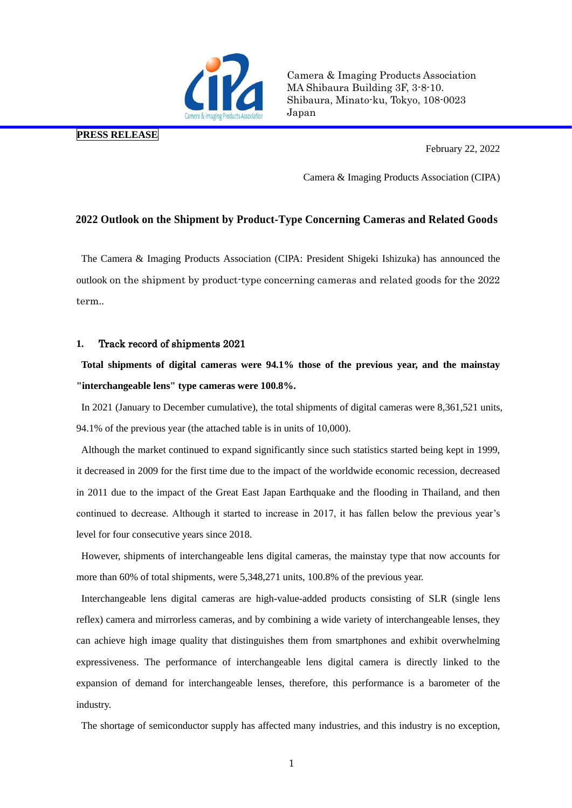

Camera & Imaging Products Association MA Shibaura Building 3F, 3-8-10. Shibaura, Minato-ku, Tokyo, 108-0023 Japan

## **PRESS RELEASE**

February 22, 2022

Camera & Imaging Products Association (CIPA)

## **2022 Outlook on the Shipment by Product-Type Concerning Cameras and Related Goods**

The Camera & Imaging Products Association (CIPA: President Shigeki Ishizuka) has announced the outlook on the shipment by product-type concerning cameras and related goods for the 2022 term..

### **1.** Track record of shipments 2021

# **Total shipments of digital cameras were 94.1% those of the previous year, and the mainstay "interchangeable lens" type cameras were 100.8%.**

In 2021 (January to December cumulative), the total shipments of digital cameras were 8,361,521 units, 94.1% of the previous year (the attached table is in units of 10,000).

Although the market continued to expand significantly since such statistics started being kept in 1999, it decreased in 2009 for the first time due to the impact of the worldwide economic recession, decreased in 2011 due to the impact of the Great East Japan Earthquake and the flooding in Thailand, and then continued to decrease. Although it started to increase in 2017, it has fallen below the previous year's level for four consecutive years since 2018.

However, shipments of interchangeable lens digital cameras, the mainstay type that now accounts for more than 60% of total shipments, were 5,348,271 units, 100.8% of the previous year.

Interchangeable lens digital cameras are high-value-added products consisting of SLR (single lens reflex) camera and mirrorless cameras, and by combining a wide variety of interchangeable lenses, they can achieve high image quality that distinguishes them from smartphones and exhibit overwhelming expressiveness. The performance of interchangeable lens digital camera is directly linked to the expansion of demand for interchangeable lenses, therefore, this performance is a barometer of the industry.

The shortage of semiconductor supply has affected many industries, and this industry is no exception,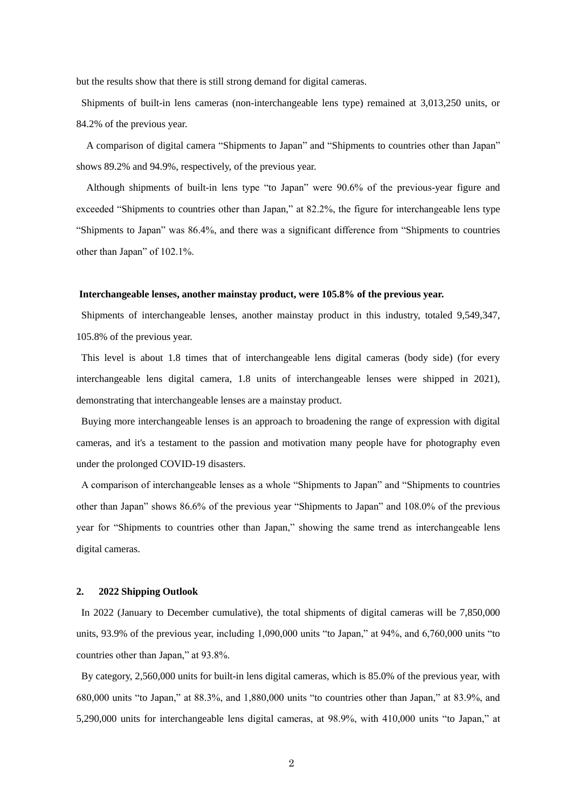but the results show that there is still strong demand for digital cameras.

Shipments of built-in lens cameras (non-interchangeable lens type) remained at 3,013,250 units, or 84.2% of the previous year.

A comparison of digital camera "Shipments to Japan" and "Shipments to countries other than Japan" shows 89.2% and 94.9%, respectively, of the previous year.

Although shipments of built-in lens type "to Japan" were 90.6% of the previous-year figure and exceeded "Shipments to countries other than Japan," at 82.2%, the figure for interchangeable lens type "Shipments to Japan" was 86.4%, and there was a significant difference from "Shipments to countries other than Japan" of 102.1%.

#### **Interchangeable lenses, another mainstay product, were 105.8% of the previous year.**

Shipments of interchangeable lenses, another mainstay product in this industry, totaled 9,549,347, 105.8% of the previous year.

This level is about 1.8 times that of interchangeable lens digital cameras (body side) (for every interchangeable lens digital camera, 1.8 units of interchangeable lenses were shipped in 2021), demonstrating that interchangeable lenses are a mainstay product.

Buying more interchangeable lenses is an approach to broadening the range of expression with digital cameras, and it's a testament to the passion and motivation many people have for photography even under the prolonged COVID-19 disasters.

A comparison of interchangeable lenses as a whole "Shipments to Japan" and "Shipments to countries other than Japan" shows 86.6% of the previous year "Shipments to Japan" and 108.0% of the previous year for "Shipments to countries other than Japan," showing the same trend as interchangeable lens digital cameras.

### **2. 2022 Shipping Outlook**

In 2022 (January to December cumulative), the total shipments of digital cameras will be 7,850,000 units, 93.9% of the previous year, including 1,090,000 units "to Japan," at 94%, and 6,760,000 units "to countries other than Japan," at 93.8%.

By category, 2,560,000 units for built-in lens digital cameras, which is 85.0% of the previous year, with 680,000 units "to Japan," at 88.3%, and 1,880,000 units "to countries other than Japan," at 83.9%, and 5,290,000 units for interchangeable lens digital cameras, at 98.9%, with 410,000 units "to Japan," at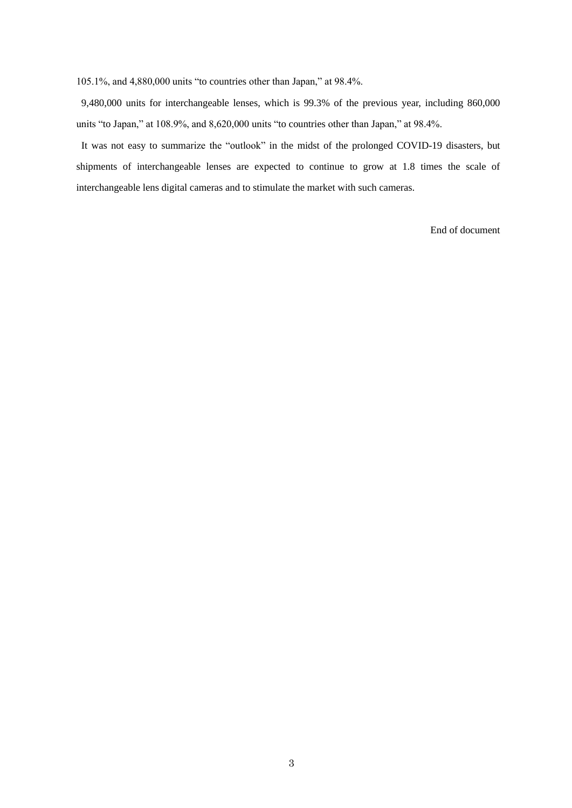105.1%, and 4,880,000 units "to countries other than Japan," at 98.4%.

9,480,000 units for interchangeable lenses, which is 99.3% of the previous year, including 860,000 units "to Japan," at 108.9%, and 8,620,000 units "to countries other than Japan," at 98.4%.

It was not easy to summarize the "outlook" in the midst of the prolonged COVID-19 disasters, but shipments of interchangeable lenses are expected to continue to grow at 1.8 times the scale of interchangeable lens digital cameras and to stimulate the market with such cameras.

End of document